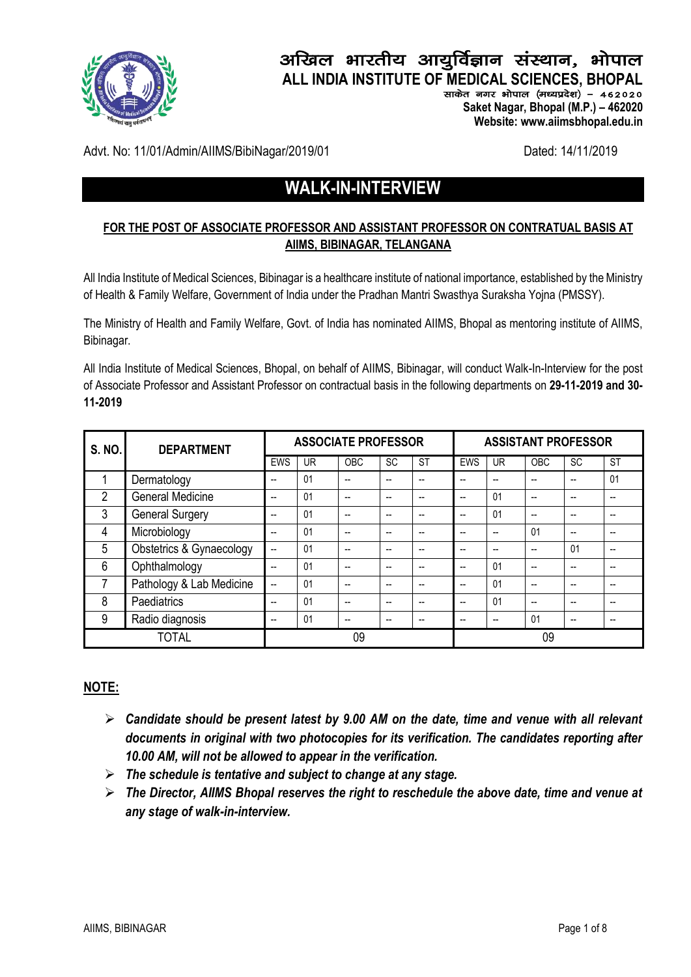

# अखिल भारतीय आयुर्विज्ञान संस्थान, भोपाल **ALL INDIA INSTITUTE OF MEDICAL SCIENCES, BHOPAL**

साकेत नगर भोपाल (मध्यप्रदेश) - 462020  **Saket Nagar, Bhopal (M.P.) – 462020 Website: www.aiimsbhopal.edu.in**

Advt. No: 11/01/Admin/AIIMS/BibiNagar/2019/01 Dated: 14/11/2019

# **WALK-IN-INTERVIEW**

# **FOR THE POST OF ASSOCIATE PROFESSOR AND ASSISTANT PROFESSOR ON CONTRATUAL BASIS AT AIIMS, BIBINAGAR, TELANGANA**

All India Institute of Medical Sciences, Bibinagar is a healthcare institute of national importance, established by the Ministry of Health & Family Welfare, Government of India under the Pradhan Mantri Swasthya Suraksha Yojna (PMSSY).

The Ministry of Health and Family Welfare, Govt. of India has nominated AIIMS, Bhopal as mentoring institute of AIIMS, Bibinagar.

All India Institute of Medical Sciences, Bhopal, on behalf of AIIMS, Bibinagar, will conduct Walk-In-Interview for the post of Associate Professor and Assistant Professor on contractual basis in the following departments on **29-11-2019 and 30- 11-2019**

| <b>S. NO.</b><br><b>DEPARTMENT</b> |                          | <b>ASSOCIATE PROFESSOR</b> |           |                          | <b>ASSISTANT PROFESSOR</b> |           |                |           |                |           |                          |
|------------------------------------|--------------------------|----------------------------|-----------|--------------------------|----------------------------|-----------|----------------|-----------|----------------|-----------|--------------------------|
|                                    |                          | <b>EWS</b>                 | <b>UR</b> | <b>OBC</b>               | <b>SC</b>                  | <b>ST</b> | <b>EWS</b>     | <b>UR</b> | <b>OBC</b>     | <b>SC</b> | <b>ST</b>                |
|                                    | Dermatology              | $-$                        | 01        | $\overline{\phantom{a}}$ | $\overline{a}$             | --        | $\overline{a}$ | --        | $\overline{a}$ | $-$       | 01                       |
| $\overline{2}$                     | <b>General Medicine</b>  | $-$                        | 01        | $\overline{\phantom{a}}$ | $\overline{a}$             | --        | $\overline{a}$ | 01        | --             | --        | $-$                      |
| 3                                  | <b>General Surgery</b>   | $-$                        | 01        | $\overline{\phantom{a}}$ | $\overline{a}$             | --        | $\overline{a}$ | 01        | $\overline{a}$ | --        | $-$                      |
| 4                                  | Microbiology             | --                         | 01        | $\overline{\phantom{a}}$ | $\overline{a}$             | --        | $\overline{a}$ | --        | 01             | --        | $-$                      |
| 5                                  | Obstetrics & Gynaecology | $\overline{a}$             | 01        | --                       | --                         | --        | --             | --        | $\overline{a}$ | 01        | $-$                      |
| 6                                  | Ophthalmology            | $\overline{\phantom{a}}$   | 01        | --                       | $\overline{a}$             | --        | $\overline{a}$ | 01        | --             | --        | $\overline{\phantom{m}}$ |
|                                    | Pathology & Lab Medicine | $\overline{a}$             | 01        | --                       | $\overline{a}$             | --        | $\overline{a}$ | 01        | --             | --        | $\overline{\phantom{m}}$ |
| 8                                  | Paediatrics              | --                         | 01        | --                       | $\overline{a}$             | --        | $\overline{a}$ | 01        | --             | --        | $\overline{\phantom{m}}$ |
| 9                                  | Radio diagnosis          | --                         | 01        | $-$                      | $-$                        | --        | --             | --        | 01             | --        | $\overline{\phantom{m}}$ |
| <b>TOTAL</b>                       |                          |                            |           | 09                       |                            |           |                |           | 09             |           |                          |

# **NOTE:**

- ➢ *Candidate should be present latest by 9.00 AM on the date, time and venue with all relevant documents in original with two photocopies for its verification. The candidates reporting after 10.00 AM, will not be allowed to appear in the verification.*
- ➢ *The schedule is tentative and subject to change at any stage.*
- ➢ *The Director, AIIMS Bhopal reserves the right to reschedule the above date, time and venue at any stage of walk-in-interview.*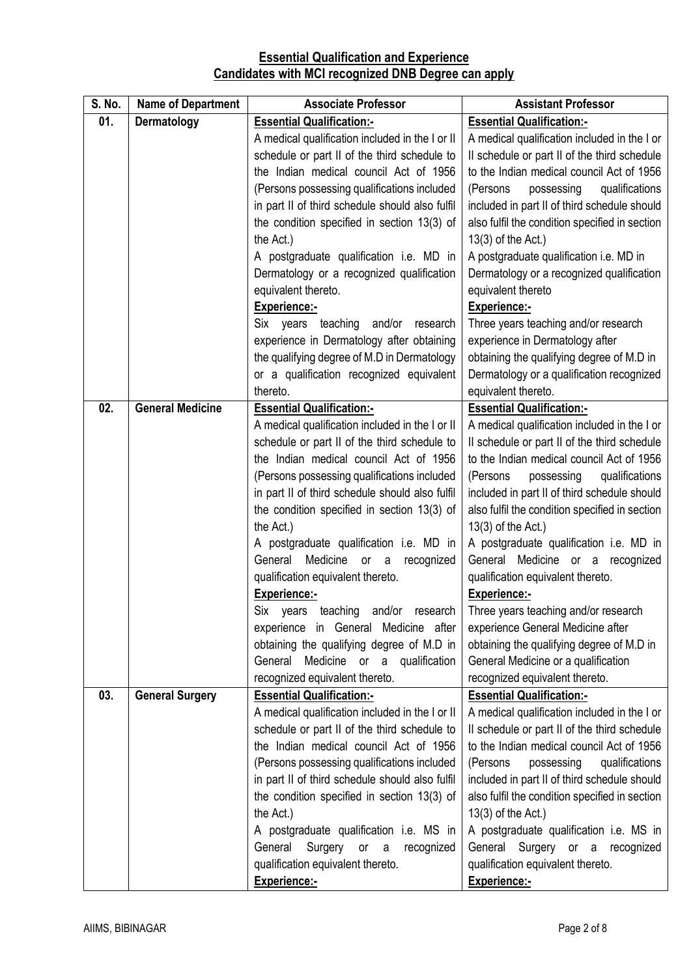# **Essential Qualification and Experience Candidates with MCI recognized DNB Degree can apply**

| S. No. | <b>Name of Department</b> | <b>Associate Professor</b>                      | <b>Assistant Professor</b>                     |
|--------|---------------------------|-------------------------------------------------|------------------------------------------------|
| 01.    | Dermatology               | <b>Essential Qualification:-</b>                | <b>Essential Qualification:-</b>               |
|        |                           | A medical qualification included in the I or II | A medical qualification included in the I or   |
|        |                           | schedule or part II of the third schedule to    | Il schedule or part II of the third schedule   |
|        |                           | the Indian medical council Act of 1956          | to the Indian medical council Act of 1956      |
|        |                           | (Persons possessing qualifications included     | (Persons<br>possessing<br>qualifications       |
|        |                           | in part II of third schedule should also fulfil | included in part II of third schedule should   |
|        |                           | the condition specified in section 13(3) of     | also fulfil the condition specified in section |
|        |                           | the Act.)                                       | $13(3)$ of the Act.)                           |
|        |                           | A postgraduate qualification i.e. MD in         | A postgraduate qualification i.e. MD in        |
|        |                           | Dermatology or a recognized qualification       | Dermatology or a recognized qualification      |
|        |                           | equivalent thereto.                             | equivalent thereto                             |
|        |                           | Experience:-                                    | Experience:-                                   |
|        |                           | Six years teaching and/or<br>research           | Three years teaching and/or research           |
|        |                           | experience in Dermatology after obtaining       | experience in Dermatology after                |
|        |                           | the qualifying degree of M.D in Dermatology     | obtaining the qualifying degree of M.D in      |
|        |                           | or a qualification recognized equivalent        | Dermatology or a qualification recognized      |
|        |                           | thereto.                                        | equivalent thereto.                            |
| 02.    | <b>General Medicine</b>   | <b>Essential Qualification:-</b>                | <b>Essential Qualification:-</b>               |
|        |                           | A medical qualification included in the I or II | A medical qualification included in the I or   |
|        |                           | schedule or part II of the third schedule to    | Il schedule or part II of the third schedule   |
|        |                           | the Indian medical council Act of 1956          | to the Indian medical council Act of 1956      |
|        |                           | (Persons possessing qualifications included     | possessing<br>qualifications<br>(Persons       |
|        |                           | in part II of third schedule should also fulfil | included in part II of third schedule should   |
|        |                           | the condition specified in section 13(3) of     | also fulfil the condition specified in section |
|        |                           | the Act.)                                       | $13(3)$ of the Act.)                           |
|        |                           | A postgraduate qualification i.e. MD in         | A postgraduate qualification i.e. MD in        |
|        |                           | Medicine<br>General<br>or<br>recognized<br>a    | General Medicine or a recognized               |
|        |                           | qualification equivalent thereto.               | qualification equivalent thereto.              |
|        |                           | <b>Experience:-</b>                             | <b>Experience:-</b>                            |
|        |                           | Six years teaching and/or research              | Three years teaching and/or research           |
|        |                           | experience in General Medicine after            | experience General Medicine after              |
|        |                           | obtaining the qualifying degree of M.D in       | obtaining the qualifying degree of M.D in      |
|        |                           | General<br>Medicine or a qualification          | General Medicine or a qualification            |
|        |                           | recognized equivalent thereto.                  | recognized equivalent thereto.                 |
| 03.    | <b>General Surgery</b>    | <b>Essential Qualification:-</b>                | <b>Essential Qualification:-</b>               |
|        |                           | A medical qualification included in the I or II | A medical qualification included in the I or   |
|        |                           | schedule or part II of the third schedule to    | Il schedule or part II of the third schedule   |
|        |                           | the Indian medical council Act of 1956          | to the Indian medical council Act of 1956      |
|        |                           | (Persons possessing qualifications included     | (Persons<br>qualifications<br>possessing       |
|        |                           | in part II of third schedule should also fulfil | included in part II of third schedule should   |
|        |                           | the condition specified in section 13(3) of     | also fulfil the condition specified in section |
|        |                           | the Act.)                                       | 13(3) of the Act.)                             |
|        |                           | A postgraduate qualification i.e. MS in         | A postgraduate qualification i.e. MS in        |
|        |                           | General<br>Surgery or a recognized              | General Surgery or a recognized                |
|        |                           | qualification equivalent thereto.               | qualification equivalent thereto.              |
|        |                           | Experience:-                                    | Experience:-                                   |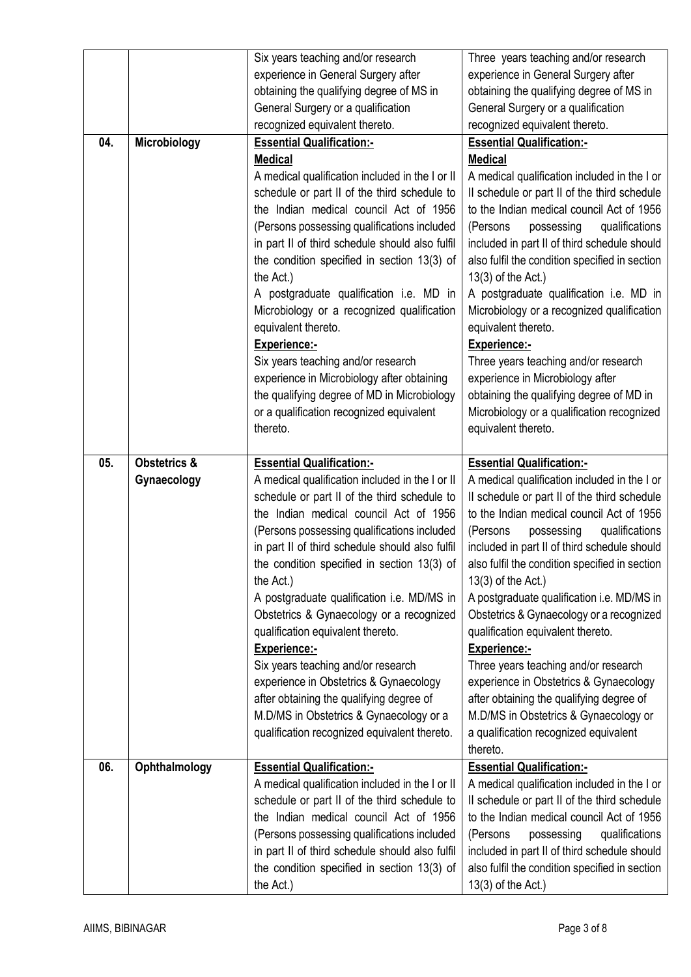|     |                         | Six years teaching and/or research                       | Three years teaching and/or research                                 |
|-----|-------------------------|----------------------------------------------------------|----------------------------------------------------------------------|
|     |                         | experience in General Surgery after                      | experience in General Surgery after                                  |
|     |                         | obtaining the qualifying degree of MS in                 | obtaining the qualifying degree of MS in                             |
|     |                         | General Surgery or a qualification                       | General Surgery or a qualification                                   |
|     |                         | recognized equivalent thereto.                           | recognized equivalent thereto.                                       |
| 04. | Microbiology            | <b>Essential Qualification:-</b>                         | <b>Essential Qualification:-</b>                                     |
|     |                         | <b>Medical</b>                                           | <b>Medical</b>                                                       |
|     |                         | A medical qualification included in the I or II          | A medical qualification included in the I or                         |
|     |                         | schedule or part II of the third schedule to             | Il schedule or part II of the third schedule                         |
|     |                         | the Indian medical council Act of 1956                   | to the Indian medical council Act of 1956                            |
|     |                         | (Persons possessing qualifications included              | (Persons<br>possessing<br>qualifications                             |
|     |                         | in part II of third schedule should also fulfil          | included in part II of third schedule should                         |
|     |                         | the condition specified in section 13(3) of              | also fulfil the condition specified in section                       |
|     |                         | the Act.)                                                | 13(3) of the Act.)                                                   |
|     |                         | A postgraduate qualification i.e. MD in                  | A postgraduate qualification i.e. MD in                              |
|     |                         | Microbiology or a recognized qualification               | Microbiology or a recognized qualification                           |
|     |                         | equivalent thereto.                                      | equivalent thereto.                                                  |
|     |                         | Experience:-                                             | <b>Experience:-</b>                                                  |
|     |                         | Six years teaching and/or research                       | Three years teaching and/or research                                 |
|     |                         | experience in Microbiology after obtaining               | experience in Microbiology after                                     |
|     |                         | the qualifying degree of MD in Microbiology              | obtaining the qualifying degree of MD in                             |
|     |                         | or a qualification recognized equivalent                 | Microbiology or a qualification recognized                           |
|     |                         | thereto.                                                 | equivalent thereto.                                                  |
|     |                         |                                                          |                                                                      |
| 05. | <b>Obstetrics &amp;</b> | <b>Essential Qualification:-</b>                         | <b>Essential Qualification:-</b>                                     |
|     |                         |                                                          |                                                                      |
|     | Gynaecology             | A medical qualification included in the I or II          | A medical qualification included in the I or                         |
|     |                         | schedule or part II of the third schedule to             | Il schedule or part II of the third schedule                         |
|     |                         | the Indian medical council Act of 1956                   | to the Indian medical council Act of 1956                            |
|     |                         | (Persons possessing qualifications included              | possessing<br>qualifications<br>(Persons                             |
|     |                         | in part II of third schedule should also fulfil          | included in part II of third schedule should                         |
|     |                         | the condition specified in section 13(3) of              | also fulfil the condition specified in section                       |
|     |                         | the Act.)                                                | 13(3) of the Act.)                                                   |
|     |                         | A postgraduate qualification i.e. MD/MS in               | A postgraduate qualification i.e. MD/MS in                           |
|     |                         | Obstetrics & Gynaecology or a recognized                 | Obstetrics & Gynaecology or a recognized                             |
|     |                         | qualification equivalent thereto.                        | qualification equivalent thereto.                                    |
|     |                         | Experience:-                                             | Experience:-                                                         |
|     |                         | Six years teaching and/or research                       | Three years teaching and/or research                                 |
|     |                         | experience in Obstetrics & Gynaecology                   | experience in Obstetrics & Gynaecology                               |
|     |                         | after obtaining the qualifying degree of                 | after obtaining the qualifying degree of                             |
|     |                         | M.D/MS in Obstetrics & Gynaecology or a                  | M.D/MS in Obstetrics & Gynaecology or                                |
|     |                         | qualification recognized equivalent thereto.             | a qualification recognized equivalent                                |
|     |                         |                                                          | thereto.                                                             |
| 06. | Ophthalmology           | <b>Essential Qualification:-</b>                         | <b>Essential Qualification:-</b>                                     |
|     |                         | A medical qualification included in the I or II          | A medical qualification included in the I or                         |
|     |                         | schedule or part II of the third schedule to             | Il schedule or part II of the third schedule                         |
|     |                         | the Indian medical council Act of 1956                   | to the Indian medical council Act of 1956                            |
|     |                         | (Persons possessing qualifications included              | (Persons<br>possessing<br>qualifications                             |
|     |                         | in part II of third schedule should also fulfil          | included in part II of third schedule should                         |
|     |                         | the condition specified in section 13(3) of<br>the Act.) | also fulfil the condition specified in section<br>13(3) of the Act.) |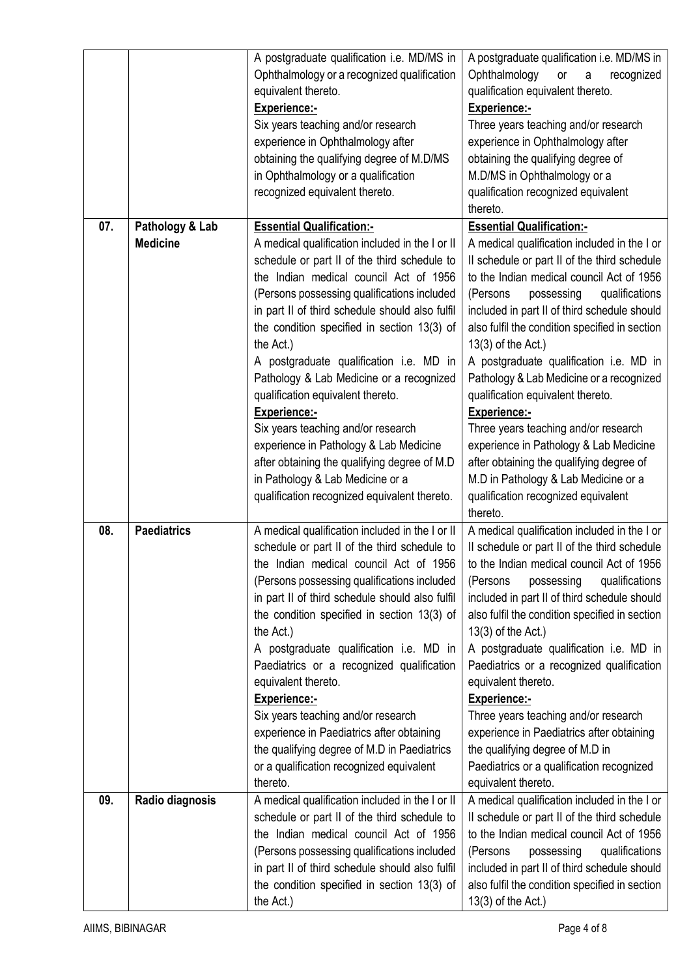|     |                                    | A postgraduate qualification i.e. MD/MS in<br>Ophthalmology or a recognized qualification<br>equivalent thereto.<br>Experience:-<br>Six years teaching and/or research                                                                                                                                                                                                                                                                                                                                                                                                                                                                  | A postgraduate qualification i.e. MD/MS in<br>Ophthalmology<br>or<br>$\mathsf{a}$<br>recognized<br>qualification equivalent thereto.<br>Experience:-<br>Three years teaching and/or research                                                                                                                                                                                                                                                                                                                                                                                                                                                    |
|-----|------------------------------------|-----------------------------------------------------------------------------------------------------------------------------------------------------------------------------------------------------------------------------------------------------------------------------------------------------------------------------------------------------------------------------------------------------------------------------------------------------------------------------------------------------------------------------------------------------------------------------------------------------------------------------------------|-------------------------------------------------------------------------------------------------------------------------------------------------------------------------------------------------------------------------------------------------------------------------------------------------------------------------------------------------------------------------------------------------------------------------------------------------------------------------------------------------------------------------------------------------------------------------------------------------------------------------------------------------|
|     |                                    | experience in Ophthalmology after<br>obtaining the qualifying degree of M.D/MS<br>in Ophthalmology or a qualification<br>recognized equivalent thereto.                                                                                                                                                                                                                                                                                                                                                                                                                                                                                 | experience in Ophthalmology after<br>obtaining the qualifying degree of<br>M.D/MS in Ophthalmology or a<br>qualification recognized equivalent<br>thereto.                                                                                                                                                                                                                                                                                                                                                                                                                                                                                      |
| 07. | Pathology & Lab<br><b>Medicine</b> | <b>Essential Qualification:-</b><br>A medical qualification included in the I or II<br>schedule or part II of the third schedule to<br>the Indian medical council Act of 1956<br>(Persons possessing qualifications included<br>in part II of third schedule should also fulfil<br>the condition specified in section 13(3) of<br>the Act.)<br>A postgraduate qualification i.e. MD in<br>Pathology & Lab Medicine or a recognized<br>qualification equivalent thereto.<br><b>Experience:-</b><br>Six years teaching and/or research<br>experience in Pathology & Lab Medicine<br>after obtaining the qualifying degree of M.D          | <b>Essential Qualification:-</b><br>A medical qualification included in the I or<br>Il schedule or part II of the third schedule<br>to the Indian medical council Act of 1956<br>(Persons<br>possessing<br>qualifications<br>included in part II of third schedule should<br>also fulfil the condition specified in section<br>13(3) of the Act.)<br>A postgraduate qualification i.e. MD in<br>Pathology & Lab Medicine or a recognized<br>qualification equivalent thereto.<br><b>Experience:-</b><br>Three years teaching and/or research<br>experience in Pathology & Lab Medicine<br>after obtaining the qualifying degree of              |
|     |                                    | in Pathology & Lab Medicine or a<br>qualification recognized equivalent thereto.                                                                                                                                                                                                                                                                                                                                                                                                                                                                                                                                                        | M.D in Pathology & Lab Medicine or a<br>qualification recognized equivalent<br>thereto.                                                                                                                                                                                                                                                                                                                                                                                                                                                                                                                                                         |
| 08. | <b>Paediatrics</b>                 | A medical qualification included in the I or II<br>schedule or part II of the third schedule to<br>the Indian medical council Act of 1956<br>(Persons possessing qualifications included<br>in part II of third schedule should also fulfil<br>the condition specified in section 13(3) of<br>the Act.)<br>A postgraduate qualification i.e. MD in<br>Paediatrics or a recognized qualification<br>equivalent thereto.<br><b>Experience:-</b><br>Six years teaching and/or research<br>experience in Paediatrics after obtaining<br>the qualifying degree of M.D in Paediatrics<br>or a qualification recognized equivalent<br>thereto. | A medical qualification included in the I or<br>Il schedule or part II of the third schedule<br>to the Indian medical council Act of 1956<br>qualifications<br>(Persons<br>possessing<br>included in part II of third schedule should<br>also fulfil the condition specified in section<br>13(3) of the Act.)<br>A postgraduate qualification i.e. MD in<br>Paediatrics or a recognized qualification<br>equivalent thereto.<br><b>Experience:-</b><br>Three years teaching and/or research<br>experience in Paediatrics after obtaining<br>the qualifying degree of M.D in<br>Paediatrics or a qualification recognized<br>equivalent thereto. |
| 09. | Radio diagnosis                    | A medical qualification included in the I or II<br>schedule or part II of the third schedule to<br>the Indian medical council Act of 1956<br>(Persons possessing qualifications included<br>in part II of third schedule should also fulfil<br>the condition specified in section 13(3) of<br>the Act.)                                                                                                                                                                                                                                                                                                                                 | A medical qualification included in the I or<br>Il schedule or part II of the third schedule<br>to the Indian medical council Act of 1956<br>possessing<br>qualifications<br>(Persons<br>included in part II of third schedule should<br>also fulfil the condition specified in section<br>13(3) of the Act.)                                                                                                                                                                                                                                                                                                                                   |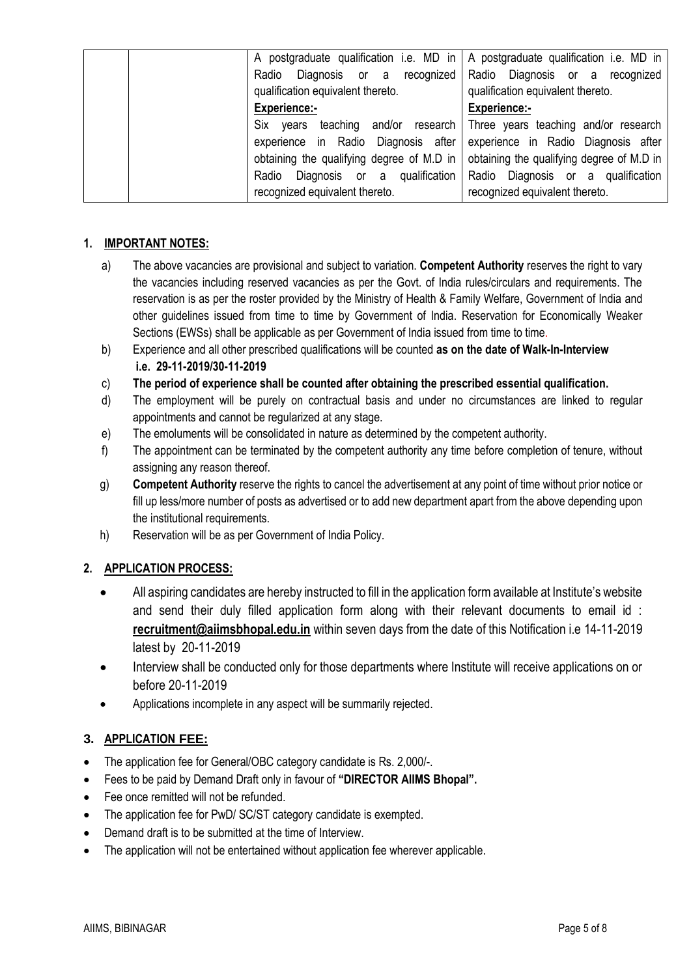| A postgraduate qualification i.e. MD in   A postgraduate qualification i.e. MD in           |                                                               |
|---------------------------------------------------------------------------------------------|---------------------------------------------------------------|
| Radio Diagnosis or a recognized Radio Diagnosis or a recognized                             |                                                               |
| qualification equivalent thereto.                                                           | qualification equivalent thereto.                             |
| <b>Experience:-</b>                                                                         | <b>Experience:-</b>                                           |
| Six years                                                                                   | teaching and/or research Three years teaching and/or research |
| experience in Radio Diagnosis after experience in Radio Diagnosis after                     |                                                               |
| obtaining the qualifying degree of M.D in $\vert$ obtaining the qualifying degree of M.D in |                                                               |
| Radio Diagnosis or a qualification Radio Diagnosis or a qualification                       |                                                               |
| recognized equivalent thereto.                                                              | recognized equivalent thereto.                                |

#### **1. IMPORTANT NOTES:**

- a) The above vacancies are provisional and subject to variation. **Competent Authority** reserves the right to vary the vacancies including reserved vacancies as per the Govt. of India rules/circulars and requirements. The reservation is as per the roster provided by the Ministry of Health & Family Welfare, Government of India and other guidelines issued from time to time by Government of India. Reservation for Economically Weaker Sections (EWSs) shall be applicable as per Government of India issued from time to time.
- b) Experience and all other prescribed qualifications will be counted **as on the date of Walk-In-Interview i.e. 29-11-2019/30-11-2019**
- c) **The period of experience shall be counted after obtaining the prescribed essential qualification.**
- d) The employment will be purely on contractual basis and under no circumstances are linked to regular appointments and cannot be regularized at any stage.
- e) The emoluments will be consolidated in nature as determined by the competent authority.
- f) The appointment can be terminated by the competent authority any time before completion of tenure, without assigning any reason thereof.
- g) **Competent Authority** reserve the rights to cancel the advertisement at any point of time without prior notice or fill up less/more number of posts as advertised or to add new department apart from the above depending upon the institutional requirements.
- h) Reservation will be as per Government of India Policy.

# **2. APPLICATION PROCESS:**

- All aspiring candidates are hereby instructed to fill in the application form available at Institute's website and send their duly filled application form along with their relevant documents to email id : **[recruitment@aiimsbhopal.edu.in](mailto:recruitment@aiimsbhopal.edu.in)** within seven days from the date of this Notification i.e 14-11-2019 latest by 20-11-2019
- Interview shall be conducted only for those departments where Institute will receive applications on or before 20-11-2019
- Applications incomplete in any aspect will be summarily rejected.

# **3. APPLICATION FEE:**

- The application fee for General/OBC category candidate is Rs. 2,000/-.
- Fees to be paid by Demand Draft only in favour of **"DIRECTOR AIIMS Bhopal".**
- Fee once remitted will not be refunded.
- The application fee for PwD/ SC/ST category candidate is exempted.
- Demand draft is to be submitted at the time of Interview.
- The application will not be entertained without application fee wherever applicable.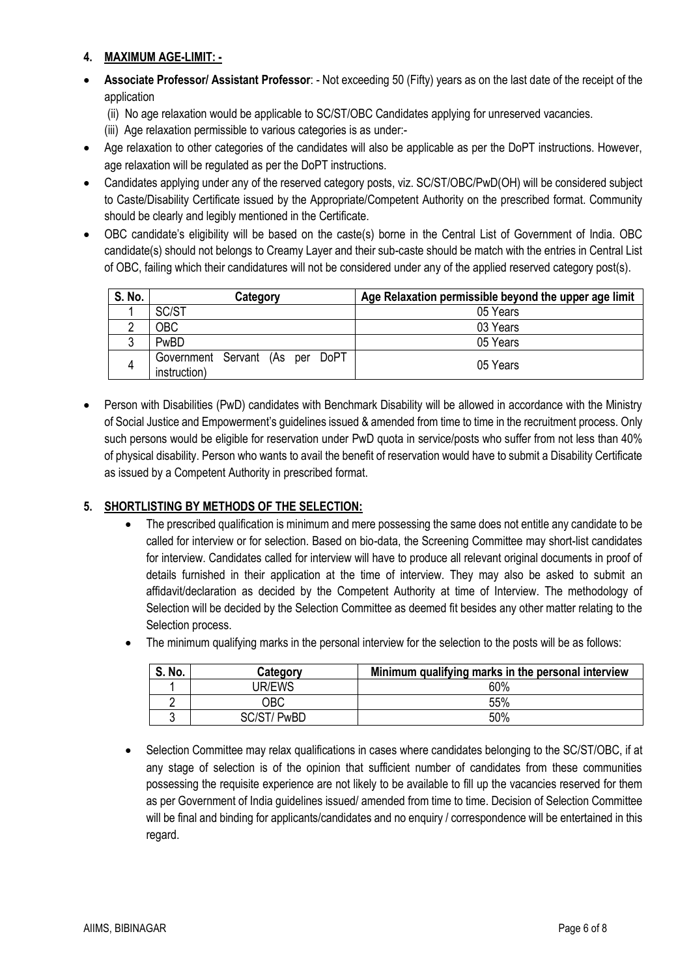#### **4. MAXIMUM AGE-LIMIT: -**

- **Associate Professor/ Assistant Professor**: Not exceeding 50 (Fifty) years as on the last date of the receipt of the application
	- (ii) No age relaxation would be applicable to SC/ST/OBC Candidates applying for unreserved vacancies.
	- (iii) Age relaxation permissible to various categories is as under:-
- Age relaxation to other categories of the candidates will also be applicable as per the DoPT instructions. However, age relaxation will be regulated as per the DoPT instructions.
- Candidates applying under any of the reserved category posts, viz. SC/ST/OBC/PwD(OH) will be considered subject to Caste/Disability Certificate issued by the Appropriate/Competent Authority on the prescribed format. Community should be clearly and legibly mentioned in the Certificate.
- OBC candidate's eligibility will be based on the caste(s) borne in the Central List of Government of India. OBC candidate(s) should not belongs to Creamy Layer and their sub-caste should be match with the entries in Central List of OBC, failing which their candidatures will not be considered under any of the applied reserved category post(s).

| S. No. | Category                                        | Age Relaxation permissible beyond the upper age limit |
|--------|-------------------------------------------------|-------------------------------------------------------|
|        | SC/ST                                           | 05 Years                                              |
|        | OBC                                             | 03 Years                                              |
|        | PwBD                                            | 05 Years                                              |
|        | Government Servant (As per DoPT<br>instruction) | 05 Years                                              |

• Person with Disabilities (PwD) candidates with Benchmark Disability will be allowed in accordance with the Ministry of Social Justice and Empowerment's guidelines issued & amended from time to time in the recruitment process. Only such persons would be eligible for reservation under PwD quota in service/posts who suffer from not less than 40% of physical disability. Person who wants to avail the benefit of reservation would have to submit a Disability Certificate as issued by a Competent Authority in prescribed format.

#### **5. SHORTLISTING BY METHODS OF THE SELECTION:**

- The prescribed qualification is minimum and mere possessing the same does not entitle any candidate to be called for interview or for selection. Based on bio-data, the Screening Committee may short-list candidates for interview. Candidates called for interview will have to produce all relevant original documents in proof of details furnished in their application at the time of interview. They may also be asked to submit an affidavit/declaration as decided by the Competent Authority at time of Interview. The methodology of Selection will be decided by the Selection Committee as deemed fit besides any other matter relating to the Selection process.
- The minimum qualifying marks in the personal interview for the selection to the posts will be as follows:

| S. No. | Category      | Minimum qualifying marks in the personal interview |
|--------|---------------|----------------------------------------------------|
|        | <b>JR/EWS</b> | 60%                                                |
|        | ЭBС           | 55%                                                |
|        | ' PwBD        | 50%                                                |

• Selection Committee may relax qualifications in cases where candidates belonging to the SC/ST/OBC, if at any stage of selection is of the opinion that sufficient number of candidates from these communities possessing the requisite experience are not likely to be available to fill up the vacancies reserved for them as per Government of India guidelines issued/ amended from time to time. Decision of Selection Committee will be final and binding for applicants/candidates and no enquiry / correspondence will be entertained in this regard.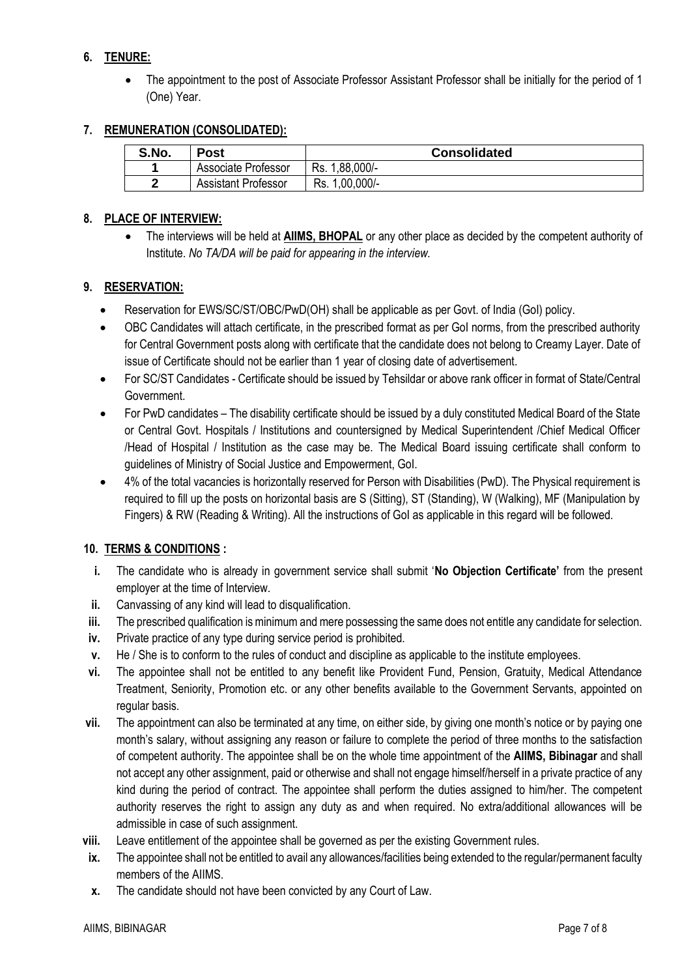# **6. TENURE:**

• The appointment to the post of Associate Professor Assistant Professor shall be initially for the period of 1 (One) Year.

#### **7. REMUNERATION (CONSOLIDATED):**

| S.No. | Post                       | <b>Consolidated</b> |
|-------|----------------------------|---------------------|
|       | Associate Professor        | 1,88,000/-<br>Rs.   |
|       | <b>Assistant Professor</b> | 1,00,000/-<br>Rs.   |

#### **8. PLACE OF INTERVIEW:**

• The interviews will be held at **AIIMS, BHOPAL** or any other place as decided by the competent authority of Institute. *No TA/DA will be paid for appearing in the interview.*

#### **9. RESERVATION:**

- Reservation for EWS/SC/ST/OBC/PwD(OH) shall be applicable as per Govt. of India (GoI) policy.
- OBC Candidates will attach certificate, in the prescribed format as per GoI norms, from the prescribed authority for Central Government posts along with certificate that the candidate does not belong to Creamy Layer. Date of issue of Certificate should not be earlier than 1 year of closing date of advertisement.
- For SC/ST Candidates Certificate should be issued by Tehsildar or above rank officer in format of State/Central Government.
- For PwD candidates The disability certificate should be issued by a duly constituted Medical Board of the State or Central Govt. Hospitals / Institutions and countersigned by Medical Superintendent /Chief Medical Officer /Head of Hospital / Institution as the case may be. The Medical Board issuing certificate shall conform to guidelines of Ministry of Social Justice and Empowerment, GoI.
- 4% of the total vacancies is horizontally reserved for Person with Disabilities (PwD). The Physical requirement is required to fill up the posts on horizontal basis are S (Sitting), ST (Standing), W (Walking), MF (Manipulation by Fingers) & RW (Reading & Writing). All the instructions of GoI as applicable in this regard will be followed.

#### **10. TERMS & CONDITIONS :**

- **i.** The candidate who is already in government service shall submit '**No Objection Certificate'** from the present employer at the time of Interview.
- **ii.** Canvassing of any kind will lead to disqualification.
- **iii.** The prescribed qualification is minimum and mere possessing the same does not entitle any candidate for selection.
- **iv.** Private practice of any type during service period is prohibited.
- **v.** He / She is to conform to the rules of conduct and discipline as applicable to the institute employees.
- **vi.** The appointee shall not be entitled to any benefit like Provident Fund, Pension, Gratuity, Medical Attendance Treatment, Seniority, Promotion etc. or any other benefits available to the Government Servants, appointed on regular basis.
- **vii.** The appointment can also be terminated at any time, on either side, by giving one month's notice or by paying one month's salary, without assigning any reason or failure to complete the period of three months to the satisfaction of competent authority. The appointee shall be on the whole time appointment of the **AIIMS, Bibinagar** and shall not accept any other assignment, paid or otherwise and shall not engage himself/herself in a private practice of any kind during the period of contract. The appointee shall perform the duties assigned to him/her. The competent authority reserves the right to assign any duty as and when required. No extra/additional allowances will be admissible in case of such assignment.
- **viii.** Leave entitlement of the appointee shall be governed as per the existing Government rules.
- **ix.** The appointee shall not be entitled to avail any allowances/facilities being extended to the regular/permanent faculty members of the AIIMS.
- **x.** The candidate should not have been convicted by any Court of Law.